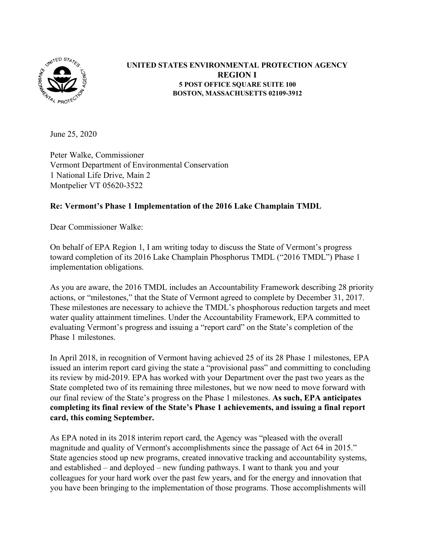

## **UNITED STATES ENVIRONMENTAL PROTECTION AGENCY REGION I 5 POST OFFICE SQUARE SUITE 100 BOSTON, MASSACHUSETTS 02109-3912**

June 25, 2020

Peter Walke, Commissioner Vermont Department of Environmental Conservation 1 National Life Drive, Main 2 Montpelier VT 05620-3522

## **Re: Vermont's Phase 1 Implementation of the 2016 Lake Champlain TMDL**

Dear Commissioner Walke:

On behalf of EPA Region 1, I am writing today to discuss the State of Vermont's progress toward completion of its 2016 Lake Champlain Phosphorus TMDL ("2016 TMDL") Phase 1 implementation obligations.

As you are aware, the 2016 TMDL includes an Accountability Framework describing 28 priority actions, or "milestones," that the State of Vermont agreed to complete by December 31, 2017. These milestones are necessary to achieve the TMDL's phosphorous reduction targets and meet water quality attainment timelines. Under the Accountability Framework, EPA committed to evaluating Vermont's progress and issuing a "report card" on the State's completion of the Phase 1 milestones.

In April 2018, in recognition of Vermont having achieved 25 of its 28 Phase 1 milestones, EPA issued an interim report card giving the state a "provisional pass" and committing to concluding its review by mid-2019. EPA has worked with your Department over the past two years as the State completed two of its remaining three milestones, but we now need to move forward with our final review of the State's progress on the Phase 1 milestones. **As such, EPA anticipates completing its final review of the State's Phase 1 achievements, and issuing a final report card, this coming September.**

As EPA noted in its 2018 interim report card, the Agency was "pleased with the overall magnitude and quality of Vermont's accomplishments since the passage of Act 64 in 2015." State agencies stood up new programs, created innovative tracking and accountability systems, and established – and deployed – new funding pathways. I want to thank you and your colleagues for your hard work over the past few years, and for the energy and innovation that you have been bringing to the implementation of those programs. Those accomplishments will